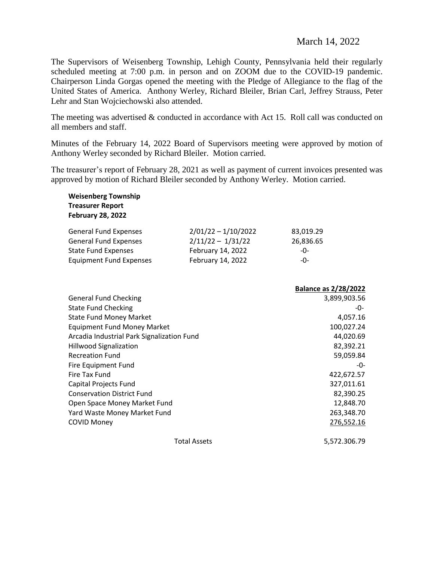## March 14, 2022

The Supervisors of Weisenberg Township, Lehigh County, Pennsylvania held their regularly scheduled meeting at 7:00 p.m. in person and on ZOOM due to the COVID-19 pandemic. Chairperson Linda Gorgas opened the meeting with the Pledge of Allegiance to the flag of the United States of America. Anthony Werley, Richard Bleiler, Brian Carl, Jeffrey Strauss, Peter Lehr and Stan Wojciechowski also attended.

The meeting was advertised & conducted in accordance with Act 15. Roll call was conducted on all members and staff.

Minutes of the February 14, 2022 Board of Supervisors meeting were approved by motion of Anthony Werley seconded by Richard Bleiler. Motion carried.

The treasurer's report of February 28, 2021 as well as payment of current invoices presented was approved by motion of Richard Bleiler seconded by Anthony Werley. Motion carried.

| <b>Weisenberg Township</b><br><b>Treasurer Report</b><br><b>February 28, 2022</b> |                       |                             |
|-----------------------------------------------------------------------------------|-----------------------|-----------------------------|
| <b>General Fund Expenses</b>                                                      | $2/01/22 - 1/10/2022$ | 83,019.29                   |
| <b>General Fund Expenses</b>                                                      | $2/11/22 - 1/31/22$   | 26,836.65                   |
| <b>State Fund Expenses</b>                                                        | February 14, 2022     | -0-                         |
| <b>Equipment Fund Expenses</b>                                                    | February 14, 2022     | -0-                         |
|                                                                                   |                       | <b>Balance as 2/28/2022</b> |
| <b>General Fund Checking</b>                                                      | 3,899,903.56          |                             |
| <b>State Fund Checking</b>                                                        | -0-                   |                             |
| <b>State Fund Money Market</b>                                                    | 4,057.16              |                             |
| <b>Equipment Fund Money Market</b>                                                | 100,027.24            |                             |
| Arcadia Industrial Park Signalization Fund                                        | 44,020.69             |                             |
| <b>Hillwood Signalization</b>                                                     | 82,392.21             |                             |
| <b>Recreation Fund</b>                                                            | 59,059.84             |                             |
| Fire Equipment Fund                                                               | -0-                   |                             |
| Fire Tax Fund                                                                     | 422,672.57            |                             |
| Capital Projects Fund                                                             | 327,011.61            |                             |
| <b>Conservation District Fund</b>                                                 | 82,390.25             |                             |
| Open Space Money Market Fund                                                      | 12,848.70             |                             |
| Yard Waste Money Market Fund                                                      | 263,348.70            |                             |
| <b>COVID Money</b>                                                                |                       | 276,552.16                  |
|                                                                                   |                       |                             |

Total Assets 5,572.306.79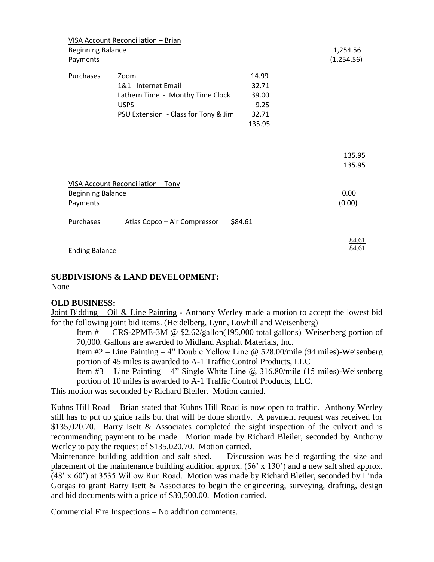| <b>Beginning Balance</b>                      | VISA Account Reconciliation - Brian |         | 1,254.56       |
|-----------------------------------------------|-------------------------------------|---------|----------------|
| Payments                                      |                                     |         | (1,254.56)     |
| Purchases                                     | Zoom                                | 14.99   |                |
|                                               | 1&1 Internet Email                  | 32.71   |                |
| Lathern Time - Monthy Time Clock<br>39.00     |                                     |         |                |
| <b>USPS</b>                                   |                                     | 9.25    |                |
| PSU Extension - Class for Tony & Jim<br>32.71 |                                     |         |                |
|                                               |                                     | 135.95  |                |
|                                               |                                     |         |                |
|                                               |                                     |         | 135.95         |
|                                               |                                     |         | 135.95         |
|                                               | VISA Account Reconciliation - Tony  |         |                |
| <b>Beginning Balance</b>                      |                                     |         | 0.00           |
| Payments                                      |                                     |         | (0.00)         |
| Purchases                                     | Atlas Copco - Air Compressor        | \$84.61 |                |
| <b>Ending Balance</b>                         |                                     |         | 84.61<br>84.61 |

#### **SUBDIVISIONS & LAND DEVELOPMENT:** None

#### **OLD BUSINESS:**

Joint Bidding – Oil & Line Painting - Anthony Werley made a motion to accept the lowest bid for the following joint bid items. (Heidelberg, Lynn, Lowhill and Weisenberg)

Item #1 – CRS-2PME-3M @ \$2.62/gallon(195,000 total gallons)–Weisenberg portion of 70,000. Gallons are awarded to Midland Asphalt Materials, Inc.

Item #2 – Line Painting – 4" Double Yellow Line @ 528.00/mile (94 miles)-Weisenberg portion of 45 miles is awarded to A-1 Traffic Control Products, LLC

Item #3 – Line Painting – 4" Single White Line @ 316.80/mile (15 miles)-Weisenberg portion of 10 miles is awarded to A-1 Traffic Control Products, LLC.

This motion was seconded by Richard Bleiler. Motion carried.

Kuhns Hill Road – Brian stated that Kuhns Hill Road is now open to traffic. Anthony Werley still has to put up guide rails but that will be done shortly. A payment request was received for \$135,020.70. Barry Isett & Associates completed the sight inspection of the culvert and is recommending payment to be made. Motion made by Richard Bleiler, seconded by Anthony Werley to pay the request of \$135,020.70. Motion carried.

Maintenance building addition and salt shed. – Discussion was held regarding the size and placement of the maintenance building addition approx. (56' x 130') and a new salt shed approx. (48' x 60') at 3535 Willow Run Road. Motion was made by Richard Bleiler, seconded by Linda Gorgas to grant Barry Isett & Associates to begin the engineering, surveying, drafting, design and bid documents with a price of \$30,500.00. Motion carried.

Commercial Fire Inspections – No addition comments.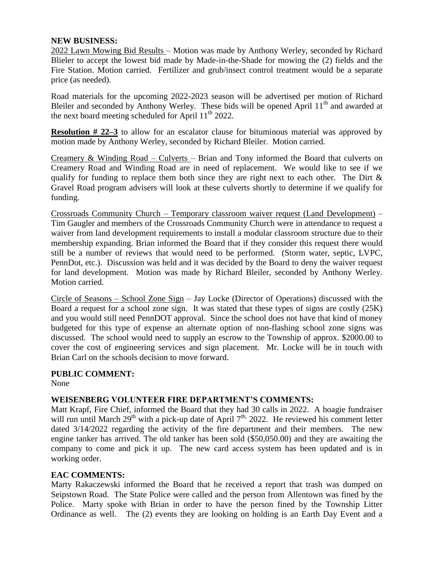#### **NEW BUSINESS:**

2022 Lawn Mowing Bid Results – Motion was made by Anthony Werley, seconded by Richard Blieler to accept the lowest bid made by Made-in-the-Shade for mowing the (2) fields and the Fire Station. Motion carried. Fertilizer and grub/insect control treatment would be a separate price (as needed).

Road materials for the upcoming 2022-2023 season will be advertised per motion of Richard Bleiler and seconded by Anthony Werley. These bids will be opened April  $11<sup>th</sup>$  and awarded at the next board meeting scheduled for April 11<sup>th</sup> 2022.

**Resolution # 22–3** to allow for an escalator clause for bituminous material was approved by motion made by Anthony Werley, seconded by Richard Bleiler. Motion carried.

Creamery & Winding Road – Culverts – Brian and Tony informed the Board that culverts on Creamery Road and Winding Road are in need of replacement. We would like to see if we qualify for funding to replace them both since they are right next to each other. The Dirt  $\&$ Gravel Road program advisers will look at these culverts shortly to determine if we qualify for funding.

Crossroads Community Church – Temporary classroom waiver request (Land Development) – Tim Gaugler and members of the Crossroads Community Church were in attendance to request a waiver from land development requirements to install a modular classroom structure due to their membership expanding. Brian informed the Board that if they consider this request there would still be a number of reviews that would need to be performed. (Storm water, septic, LVPC, PennDot, etc.). Discussion was held and it was decided by the Board to deny the waiver request for land development. Motion was made by Richard Bleiler, seconded by Anthony Werley. Motion carried.

Circle of Seasons – School Zone Sign – Jay Locke (Director of Operations) discussed with the Board a request for a school zone sign. It was stated that these types of signs are costly (25K) and you would still need PennDOT approval. Since the school does not have that kind of money budgeted for this type of expense an alternate option of non-flashing school zone signs was discussed. The school would need to supply an escrow to the Township of approx. \$2000.00 to cover the cost of engineering services and sign placement. Mr. Locke will be in touch with Brian Carl on the schools decision to move forward.

#### **PUBLIC COMMENT:**

None

#### **WEISENBERG VOLUNTEER FIRE DEPARTMENT'S COMMENTS:**

Matt Krapf, Fire Chief, informed the Board that they had 30 calls in 2022. A hoagie fundraiser will run until March  $29<sup>th</sup>$  with a pick-up date of April  $7<sup>th</sup>$ , 2022. He reviewed his comment letter dated  $3/14/2022$  regarding the activity of the fire department and their members. The new engine tanker has arrived. The old tanker has been sold (\$50,050.00) and they are awaiting the company to come and pick it up. The new card access system has been updated and is in working order.

#### **EAC COMMENTS:**

Marty Rakaczewski informed the Board that he received a report that trash was dumped on Seipstown Road. The State Police were called and the person from Allentown was fined by the Police. Marty spoke with Brian in order to have the person fined by the Township Litter Ordinance as well. The (2) events they are looking on holding is an Earth Day Event and a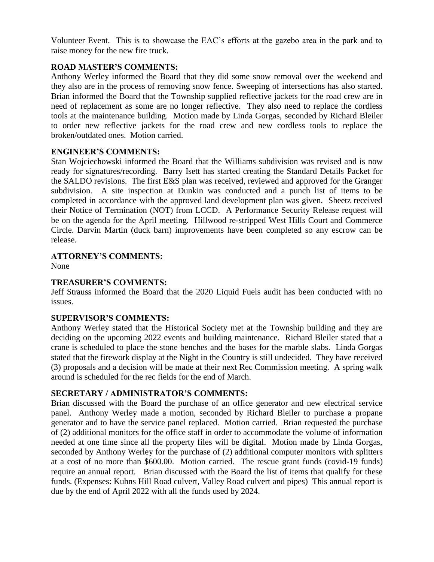Volunteer Event. This is to showcase the EAC's efforts at the gazebo area in the park and to raise money for the new fire truck.

## **ROAD MASTER'S COMMENTS:**

Anthony Werley informed the Board that they did some snow removal over the weekend and they also are in the process of removing snow fence. Sweeping of intersections has also started. Brian informed the Board that the Township supplied reflective jackets for the road crew are in need of replacement as some are no longer reflective. They also need to replace the cordless tools at the maintenance building. Motion made by Linda Gorgas, seconded by Richard Bleiler to order new reflective jackets for the road crew and new cordless tools to replace the broken/outdated ones. Motion carried.

## **ENGINEER'S COMMENTS:**

Stan Wojciechowski informed the Board that the Williams subdivision was revised and is now ready for signatures/recording. Barry Isett has started creating the Standard Details Packet for the SALDO revisions. The first E&S plan was received, reviewed and approved for the Granger subdivision. A site inspection at Dunkin was conducted and a punch list of items to be completed in accordance with the approved land development plan was given. Sheetz received their Notice of Termination (NOT) from LCCD. A Performance Security Release request will be on the agenda for the April meeting. Hillwood re-stripped West Hills Court and Commerce Circle. Darvin Martin (duck barn) improvements have been completed so any escrow can be release.

# **ATTORNEY'S COMMENTS:**

None

## **TREASURER'S COMMENTS:**

Jeff Strauss informed the Board that the 2020 Liquid Fuels audit has been conducted with no issues.

## **SUPERVISOR'S COMMENTS:**

Anthony Werley stated that the Historical Society met at the Township building and they are deciding on the upcoming 2022 events and building maintenance. Richard Bleiler stated that a crane is scheduled to place the stone benches and the bases for the marble slabs. Linda Gorgas stated that the firework display at the Night in the Country is still undecided. They have received (3) proposals and a decision will be made at their next Rec Commission meeting. A spring walk around is scheduled for the rec fields for the end of March.

## **SECRETARY / ADMINISTRATOR'S COMMENTS:**

Brian discussed with the Board the purchase of an office generator and new electrical service panel. Anthony Werley made a motion, seconded by Richard Bleiler to purchase a propane generator and to have the service panel replaced. Motion carried. Brian requested the purchase of (2) additional monitors for the office staff in order to accommodate the volume of information needed at one time since all the property files will be digital. Motion made by Linda Gorgas, seconded by Anthony Werley for the purchase of (2) additional computer monitors with splitters at a cost of no more than \$600.00. Motion carried. The rescue grant funds (covid-19 funds) require an annual report. Brian discussed with the Board the list of items that qualify for these funds. (Expenses: Kuhns Hill Road culvert, Valley Road culvert and pipes) This annual report is due by the end of April 2022 with all the funds used by 2024.